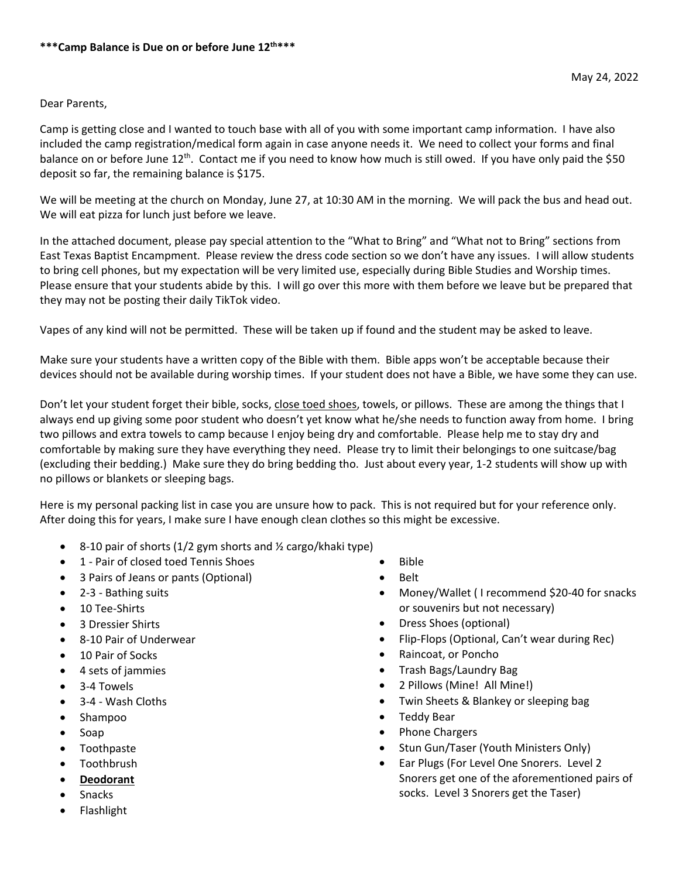## Dear Parents,

Camp is getting close and I wanted to touch base with all of you with some important camp information. I have also included the camp registration/medical form again in case anyone needs it. We need to collect your forms and final balance on or before June 12<sup>th</sup>. Contact me if you need to know how much is still owed. If you have only paid the \$50 deposit so far, the remaining balance is \$175.

We will be meeting at the church on Monday, June 27, at 10:30 AM in the morning. We will pack the bus and head out. We will eat pizza for lunch just before we leave.

In the attached document, please pay special attention to the "What to Bring" and "What not to Bring" sections from East Texas Baptist Encampment. Please review the dress code section so we don't have any issues. I will allow students to bring cell phones, but my expectation will be very limited use, especially during Bible Studies and Worship times. Please ensure that your students abide by this. I will go over this more with them before we leave but be prepared that they may not be posting their daily TikTok video.

Vapes of any kind will not be permitted. These will be taken up if found and the student may be asked to leave.

Make sure your students have a written copy of the Bible with them. Bible apps won't be acceptable because their devices should not be available during worship times. If your student does not have a Bible, we have some they can use.

Don't let your student forget their bible, socks, close toed shoes, towels, or pillows. These are among the things that I always end up giving some poor student who doesn't yet know what he/she needs to function away from home. I bring two pillows and extra towels to camp because I enjoy being dry and comfortable. Please help me to stay dry and comfortable by making sure they have everything they need. Please try to limit their belongings to one suitcase/bag (excluding their bedding.) Make sure they do bring bedding tho. Just about every year, 1-2 students will show up with no pillows or blankets or sleeping bags.

Here is my personal packing list in case you are unsure how to pack. This is not required but for your reference only. After doing this for years, I make sure I have enough clean clothes so this might be excessive.

- $\bullet$  8-10 pair of shorts (1/2 gym shorts and ½ cargo/khaki type)
- 1 Pair of closed toed Tennis Shoes
- 3 Pairs of Jeans or pants (Optional)
- 2-3 Bathing suits
- 10 Tee-Shirts
- 3 Dressier Shirts
- 8-10 Pair of Underwear
- 10 Pair of Socks
- 4 sets of jammies
- 3-4 Towels
- 3-4 Wash Cloths
- Shampoo
- Soap
- Toothpaste
- Toothbrush
- **Deodorant**
- Snacks
- Flashlight
- Bible
- **•** Belt
- Money/Wallet ( I recommend \$20-40 for snacks or souvenirs but not necessary)
- Dress Shoes (optional)
- Flip-Flops (Optional, Can't wear during Rec)
- Raincoat, or Poncho
- Trash Bags/Laundry Bag
- 2 Pillows (Mine! All Mine!)
- Twin Sheets & Blankey or sleeping bag
- Teddy Bear
- Phone Chargers
- Stun Gun/Taser (Youth Ministers Only)
- Ear Plugs (For Level One Snorers. Level 2 Snorers get one of the aforementioned pairs of socks. Level 3 Snorers get the Taser)